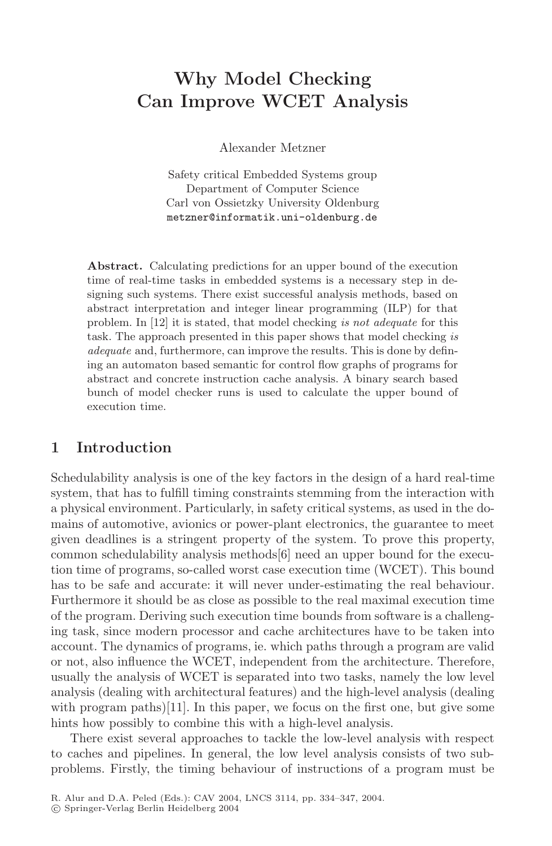# **Why Model Checking Can Improve WCET Analysis**

Alexander Metzner

Safety critical Embedded Systems group Department of Computer Science Carl von Ossietzky University Oldenburg metzner@informatik.uni-oldenburg.de

**Abstract.** Calculating predictions for an upper bound of the execution time of real-time tasks in embedded systems is a necessary step in designing such systems. There exist successful analysis methods, based on abstract interpretation and integer linear programming (ILP) for that problem. In [12] it is stated, that model checking *is not adequate* for this task. The approach presented in this paper shows that model checking *is adequate* and, furthermore, can improve the results. This is done by defining an automaton based semantic for control flow graphs of programs for abstract and concrete instruction cache analysis. A binary search based bunch of model checker runs is used to calculate the upper bound of execution time.

# **1 Introduction**

Schedulability analysis is one of the key factors in the design of a hard real-time system, that has to fulfill timing constraints stemming from the interaction with a physical environment. Particularly, in safety critical systems, as used in the domains of automotive, avionics or power-plant electronics, the guarantee to meet given deadlines is a stringent property of the system. To prove this property, common schedulability analysis methods[6] need an upper bound for the execution time of programs, so-called worst case execution time (WCET). This bound has to be safe and accurate: it will never under-estimating the real behaviour. Furthermore it should be as close as possible to the real maximal execution time of the program. Deriving such execution time bounds from software is a challenging task, since modern processor and cache architectures have to be taken into account. The dynamics of programs, ie. which paths through a program are valid or not, also influence the WCET, independent from the architecture. Therefore, usually the analysis of WCET is separated into two tasks, namely the low level analysis (dealing with architectural features) and the high-level analysis (dealing with program paths)[11]. In this paper, we focus on the first one, but give some hints how possibly to combine this with a high-level analysis.

There exist several approaches to tackle the low-level analysis with respect to caches and pipelines. In general, the low level analysis consists of two subproblems. Firstly, the timing behaviour of instructions of a program must be

c Springer-Verlag Berlin Heidelberg 2004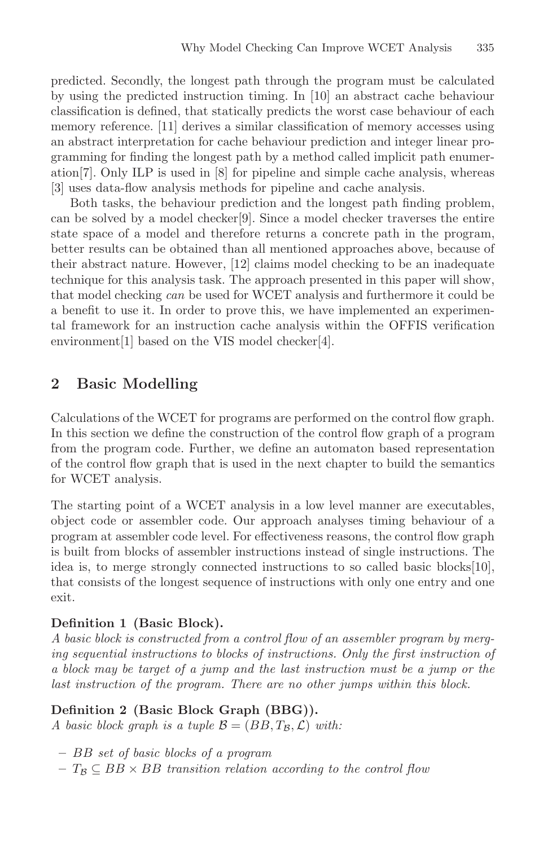predicted. Secondly, the longest path through the program must be calculated by using the predicted instruction timing. In [10] an abstract cache behaviour classification is defined, that statically predicts the worst case behaviour of each memory reference. [11] derives a similar classification of memory accesses using an abstract interpretation for cache behaviour prediction and integer linear programming for finding the longest path by a method called implicit path enumeration[7]. Only ILP is used in [8] for pipeline and simple cache analysis, whereas [3] uses data-flow analysis methods for pipeline and cache analysis.

Both tasks, the behaviour prediction and the longest path finding problem, can be solved by a model checker[9]. Since a model checker traverses the entire state space of a model and therefore returns a concrete path in the program, better results can be obtained than all mentioned approaches above, because of their abstract nature. However, [12] claims model checking to be an inadequate technique for this analysis task. The approach presented in this paper will show, that model checking *can* be used for WCET analysis and furthermore it could be a benefit to use it. In order to prove this, we have implemented an experimental framework for an instruction cache analysis within the OFFIS verification environment<sup>[1]</sup> based on the VIS model checker<sup>[4]</sup>.

# **2 Basic Modelling**

Calculations of the WCET for programs are performed on the control flow graph. In this section we define the construction of the control flow graph of a program from the program code. Further, we define an automaton based representation of the control flow graph that is used in the next chapter to build the semantics for WCET analysis.

The starting point of a WCET analysis in a low level manner are executables, object code or assembler code. Our approach analyses timing behaviour of a program at assembler code level. For effectiveness reasons, the control flow graph is built from blocks of assembler instructions instead of single instructions. The idea is, to merge strongly connected instructions to so called basic blocks[10], that consists of the longest sequence of instructions with only one entry and one exit.

## **Definition 1 (Basic Block).**

*A basic block is constructed from a control flow of an assembler program by merging sequential instructions to blocks of instructions. Only the first instruction of a block may be target of a jump and the last instruction must be a jump or the last instruction of the program. There are no other jumps within this block.*

## **Definition 2 (Basic Block Graph (BBG)).**

*A* basic block graph is a tuple  $\mathcal{B} = (BB, T_B, \mathcal{L})$  with:

- **–** BB *set of basic blocks of a program*
- $T_B \subseteq BB \times BB$  *transition relation according to the control flow*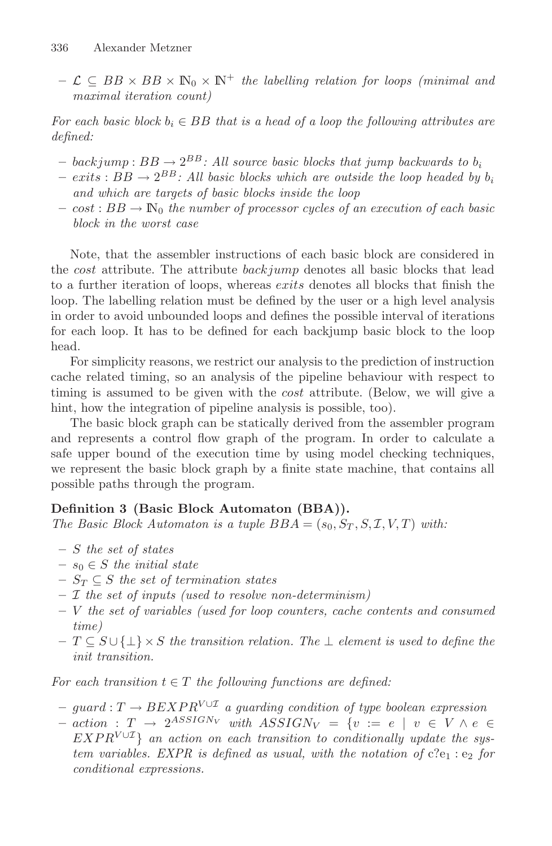$-\mathcal{L} \subseteq BB \times BB \times \mathbb{N}_0 \times \mathbb{N}^+$  the labelling relation for loops (minimal and *maximal iteration count)*

*For each basic block*  $b_i \in BB$  *that is a head of a loop the following attributes are defined:*

- $–$  backjump :  $BB \rightarrow 2^{BB}$ *: All source basic blocks that jump backwards to b<sub>i</sub>*
- $-$  exits :  $BB \rightarrow 2^{BB}$ : All basic blocks which are outside the loop headed by  $b_i$ *and which are targets of basic blocks inside the loop*
- $\cos t : BB \to \mathbb{N}_0$  the number of processor cycles of an execution of each basic *block in the worst case*

Note, that the assembler instructions of each basic block are considered in the cost attribute. The attribute backjump denotes all basic blocks that lead to a further iteration of loops, whereas exits denotes all blocks that finish the loop. The labelling relation must be defined by the user or a high level analysis in order to avoid unbounded loops and defines the possible interval of iterations for each loop. It has to be defined for each backjump basic block to the loop head.

For simplicity reasons, we restrict our analysis to the prediction of instruction cache related timing, so an analysis of the pipeline behaviour with respect to timing is assumed to be given with the cost attribute. (Below, we will give a hint, how the integration of pipeline analysis is possible, too).

The basic block graph can be statically derived from the assembler program and represents a control flow graph of the program. In order to calculate a safe upper bound of the execution time by using model checking techniques, we represent the basic block graph by a finite state machine, that contains all possible paths through the program.

## **Definition 3 (Basic Block Automaton (BBA)).**

*The Basic Block Automaton is a tuple*  $BBA = (s_0, S_T, S, \mathcal{I}, V, T)$  *with:* 

- **–** S *the set of states*
- $s_0 \in S$  *the initial state*
- **–** S*<sup>T</sup>* ⊆ S *the set of termination states*
- **–** I *the set of inputs (used to resolve non-determinism)*
- **–** V *the set of variables (used for loop counters, cache contents and consumed time)*
- **–** T ⊆ S ∪ {⊥} ×S *the transition relation. The* ⊥ *element is used to define the init transition.*

*For each transition*  $t \in T$  *the following functions are defined:* 

- $−$  guard :  $T → BEXPR<sup>V\cup T</sup>$  *a guarding condition of type boolean expression*
- **–** action : T → 2*ASSIGN<sup>V</sup> with* ASSIGN*<sup>V</sup>* = {v := e | v ∈ V ∧ e ∈  $EXPR^{V \cup I}$  *an action on each transition to conditionally update the system variables. EXPR is defined as usual, with the notation of*  $c?e_1 : e_2$  *for conditional expressions.*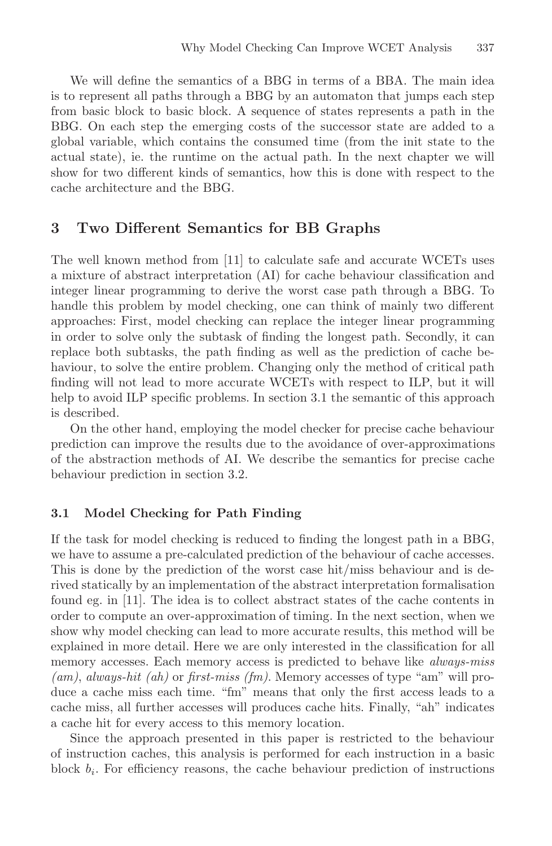We will define the semantics of a BBG in terms of a BBA. The main idea is to represent all paths through a BBG by an automaton that jumps each step from basic block to basic block. A sequence of states represents a path in the BBG. On each step the emerging costs of the successor state are added to a global variable, which contains the consumed time (from the init state to the actual state), ie. the runtime on the actual path. In the next chapter we will show for two different kinds of semantics, how this is done with respect to the cache architecture and the BBG.

# **3 Two Different Semantics for BB Graphs**

The well known method from [11] to calculate safe and accurate WCETs uses a mixture of abstract interpretation (AI) for cache behaviour classification and integer linear programming to derive the worst case path through a BBG. To handle this problem by model checking, one can think of mainly two different approaches: First, model checking can replace the integer linear programming in order to solve only the subtask of finding the longest path. Secondly, it can replace both subtasks, the path finding as well as the prediction of cache behaviour, to solve the entire problem. Changing only the method of critical path finding will not lead to more accurate WCETs with respect to ILP, but it will help to avoid ILP specific problems. In section 3.1 the semantic of this approach is described.

On the other hand, employing the model checker for precise cache behaviour prediction can improve the results due to the avoidance of over-approximations of the abstraction methods of AI. We describe the semantics for precise cache behaviour prediction in section 3.2.

## **3.1 Model Checking for Path Finding**

If the task for model checking is reduced to finding the longest path in a BBG, we have to assume a pre-calculated prediction of the behaviour of cache accesses. This is done by the prediction of the worst case hit/miss behaviour and is derived statically by an implementation of the abstract interpretation formalisation found eg. in [11]. The idea is to collect abstract states of the cache contents in order to compute an over-approximation of timing. In the next section, when we show why model checking can lead to more accurate results, this method will be explained in more detail. Here we are only interested in the classification for all memory accesses. Each memory access is predicted to behave like *always-miss (am)*, *always-hit (ah)* or *first-miss (fm)*. Memory accesses of type "am" will produce a cache miss each time. "fm" means that only the first access leads to a cache miss, all further accesses will produces cache hits. Finally, "ah" indicates a cache hit for every access to this memory location.

Since the approach presented in this paper is restricted to the behaviour of instruction caches, this analysis is performed for each instruction in a basic block  $b_i$ . For efficiency reasons, the cache behaviour prediction of instructions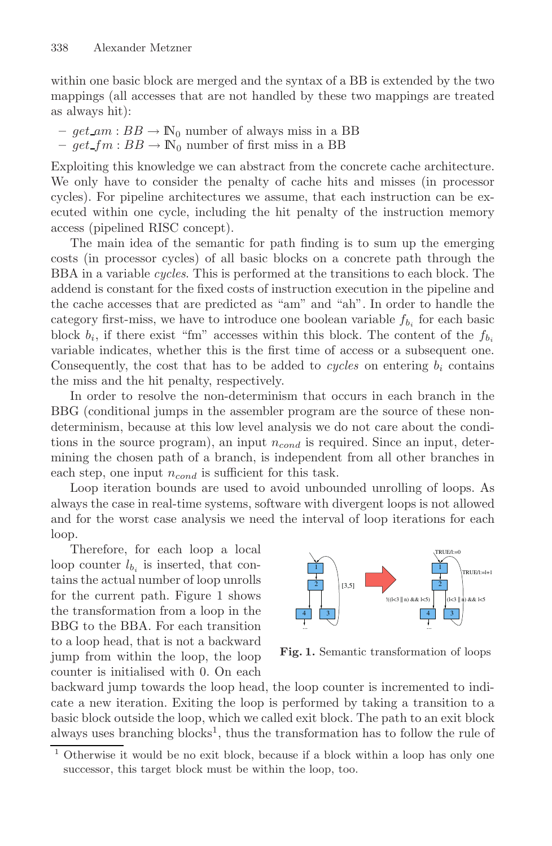within one basic block are merged and the syntax of a BB is extended by the two mappings (all accesses that are not handled by these two mappings are treated as always hit):

- $get\_am : BB \rightarrow \mathbb{N}_0$  number of always miss in a BB
- $get\_fm : BB \rightarrow \mathbb{N}_0$  number of first miss in a BB

Exploiting this knowledge we can abstract from the concrete cache architecture. We only have to consider the penalty of cache hits and misses (in processor cycles). For pipeline architectures we assume, that each instruction can be executed within one cycle, including the hit penalty of the instruction memory access (pipelined RISC concept).

The main idea of the semantic for path finding is to sum up the emerging costs (in processor cycles) of all basic blocks on a concrete path through the BBA in a variable *cycles*. This is performed at the transitions to each block. The addend is constant for the fixed costs of instruction execution in the pipeline and the cache accesses that are predicted as "am" and "ah". In order to handle the category first-miss, we have to introduce one boolean variable  $f_{b_i}$  for each basic block  $b_i$ , if there exist "fm" accesses within this block. The content of the  $f_{b_i}$ variable indicates, whether this is the first time of access or a subsequent one. Consequently, the cost that has to be added to *cycles* on entering  $b_i$  contains the miss and the hit penalty, respectively.

In order to resolve the non-determinism that occurs in each branch in the BBG (conditional jumps in the assembler program are the source of these nondeterminism, because at this low level analysis we do not care about the conditions in the source program), an input n*cond* is required. Since an input, determining the chosen path of a branch, is independent from all other branches in each step, one input  $n_{cond}$  is sufficient for this task.

Loop iteration bounds are used to avoid unbounded unrolling of loops. As always the case in real-time systems, software with divergent loops is not allowed and for the worst case analysis we need the interval of loop iterations for each loop.

Therefore, for each loop a local loop counter  $l_{b_i}$  is inserted, that contains the actual number of loop unrolls for the current path. Figure 1 shows the transformation from a loop in the BBG to the BBA. For each transition to a loop head, that is not a backward jump from within the loop, the loop counter is initialised with 0. On each



**Fig. 1.** Semantic transformation of loops

backward jump towards the loop head, the loop counter is incremented to indicate a new iteration. Exiting the loop is performed by taking a transition to a basic block outside the loop, which we called exit block. The path to an exit block always uses branching blocks<sup>1</sup>, thus the transformation has to follow the rule of

<sup>1</sup> Otherwise it would be no exit block, because if a block within a loop has only one successor, this target block must be within the loop, too.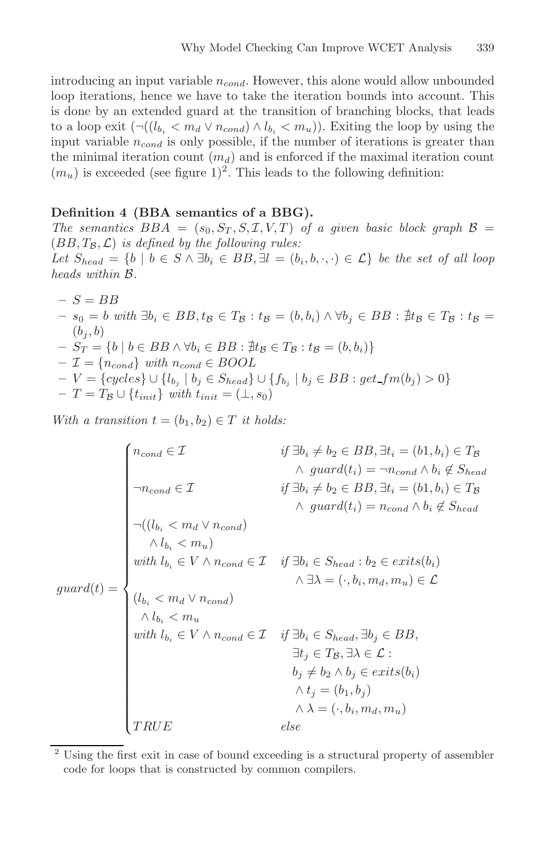introducing an input variable n*cond*. However, this alone would allow unbounded loop iterations, hence we have to take the iteration bounds into account. This is done by an extended guard at the transition of branching blocks, that leads to a loop exit  $(\neg((l_{b_i} < m_d \lor n_{cond}) \land l_{b_i} < m_u))$ . Exiting the loop by using the input variable n*cond* is only possible, if the number of iterations is greater than the minimal iteration count  $(m_d)$  and is enforced if the maximal iteration count  $(m_u)$  is exceeded (see figure 1)<sup>2</sup>. This leads to the following definition:

## **Definition 4 (BBA semantics of a BBG).**

*The semantics*  $BBA = (s_0, S_T, S, \mathcal{I}, V, T)$  *of a given basic block graph*  $\mathcal{B} =$  $(BB, T_{\mathcal{B}}, \mathcal{L})$  *is defined by the following rules: Let*  $S_{head} = \{b \mid b \in S \land \exists b_i \in BB, \exists l = (b_i, b, \cdot, \cdot) \in \mathcal{L}\}$  *be the set of all loop heads within* B*.*

$$
- S = BB
$$
  
\n
$$
- s_0 = b \text{ with } \exists b_i \in BB, t_\mathcal{B} \in T_\mathcal{B} : t_\mathcal{B} = (b, b_i) \land \forall b_j \in BB : \nexists t_\mathcal{B} \in T_\mathcal{B} : t_\mathcal{B} = (b_j, b)
$$
  
\n
$$
- S_T = \{b \mid b \in BB \land \forall b_i \in BB : \nexists t_\mathcal{B} \in T_\mathcal{B} : t_\mathcal{B} = (b, b_i)\}
$$
  
\n
$$
- T = \{n_{cond}\} \text{ with } n_{cond} \in BOOL
$$
  
\n
$$
- V = \{cycles\} \cup \{l_{b_j} \mid b_j \in S_{head}\} \cup \{f_{b_j} \mid b_j \in BB : get\_fm(b_j) > 0\}
$$
  
\n
$$
- T = T_B \cup \{t_{init}\} \text{ with } t_{init} = (\perp, s_0)
$$

*With a transition*  $t = (b_1, b_2) \in T$  *it holds:* 

$$
guard(t) = \begin{cases} n_{cond} \in \mathcal{I} & \text{if } \exists b_i \neq b_2 \in BB, \exists t_i = (b1, b_i) \in T_B \\ \land \text{ guard}(t_i) = \neg n_{cond} \land b_i \notin S_{head} \\ \neg n_{cond} \in \mathcal{I} & \text{if } \exists b_i \neq b_2 \in BB, \exists t_i = (b1, b_i) \in T_B \\ \land \text{guard}(t_i) = n_{cond} \land b_i \notin S_{head} \\ \neg((l_{b_i} < m_d \lor n_{cond}) \\ \land l_{b_i} < m_u) \\ \text{with } l_{b_i} \in V \land n_{cond} \in \mathcal{I} & \text{if } \exists b_i \in S_{head} : b_2 \in exists(b_i) \\ \land \exists \lambda = (\cdot, b_i, m_d, m_u) \in \mathcal{L} \\ (l_{b_i} < m_d \lor n_{cond}) \\ \land l_{b_i} < m_u \\ \text{with } l_{b_i} \in V \land n_{cond} \in \mathcal{I} & \text{if } \exists b_i \in S_{head}, \exists b_j \in BB, \\ \exists t_j \in T_B, \exists \lambda \in \mathcal{L} : \\ b_j \neq b_2 \land b_j \in exists(b_i) \\ \land t_j = (b_1, b_j) \\ \land \lambda = (\cdot, b_i, m_d, m_u) \end{cases}
$$

<sup>2</sup> Using the first exit in case of bound exceeding is a structural property of assembler code for loops that is constructed by common compilers.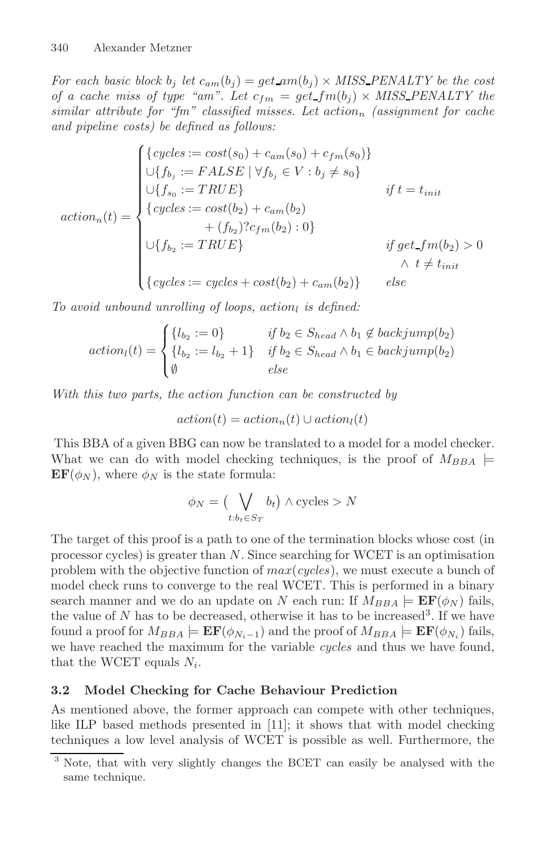*For each basic block*  $b_j$  *let*  $c_{am}(b_j) = get\_am(b_j) \times MISS-PENALTY$  be the cost *of a cache miss of type "am". Let*  $c_{fm} = get\_fm(b_j) \times MISS\_PENALTY$  the *similar attribute for "fm" classified misses. Let* action*<sup>n</sup> (assignment for cache and pipeline costs) be defined as follows:*

$$
action_n(t) = \begin{cases} \{cycles := cost(s_0) + c_{am}(s_0) + c_{fm}(s_0)\} \\ \cup \{f_{b_j} := FALSE \mid \forall f_{b_j} \in V : b_j \neq s_0\} \\ \cup \{f_{s_0} := TRUE\} & \text{if } t = t_{init} \\ \{cycles := cost(b_2) + c_{am}(b_2) \\ + (f_{b_2})?c_{fm}(b_2) : 0\} & \text{if } get\_fm(b_2) > 0 \\ \cup \{f_{b_2} := TRUE\} & \text{if } get\_fm(b_2) > 0 \\ \{cycles := cycles + cost(b_2) + c_{am}(b_2)\} & \text{else} \end{cases}
$$

*To avoid unbound unrolling of loops,* action*<sup>l</sup> is defined:*

$$
action_l(t) = \begin{cases} \{l_{b_2} := 0\} & \text{if } b_2 \in S_{head} \land b_1 \notin backjump(b_2) \\ \{l_{b_2} := l_{b_2} + 1\} & \text{if } b_2 \in S_{head} \land b_1 \in backjump(b_2) \\ \emptyset & \text{else} \end{cases}
$$

*With this two parts, the* action *function can be constructed by*

$$
action(t) = action_n(t) \cup action_l(t)
$$

This BBA of a given BBG can now be translated to a model for a model checker. What we can do with model checking techniques, is the proof of  $M_{BBA} \models$  $\mathbf{EF}(\phi_N)$ , where  $\phi_N$  is the state formula:

$$
\phi_N = \big(\bigvee_{t:b_t \in S_T} b_t\big) \land \text{cycles} > N
$$

The target of this proof is a path to one of the termination blocks whose cost (in processor cycles) is greater than N. Since searching for WCET is an optimisation problem with the objective function of max(*cycles*), we must execute a bunch of model check runs to converge to the real WCET. This is performed in a binary search manner and we do an update on N each run: If  $M_{BBA} \models \mathbf{EF}(\phi_N)$  fails, the value of N has to be decreased, otherwise it has to be increased<sup>3</sup>. If we have found a proof for  $M_{BBA} \models \mathbf{EF}(\phi_{N_i-1})$  and the proof of  $M_{BBA} \models \mathbf{EF}(\phi_{N_i})$  fails, we have reached the maximum for the variable *cycles* and thus we have found, that the WCET equals N*i*.

## **3.2 Model Checking for Cache Behaviour Prediction**

As mentioned above, the former approach can compete with other techniques, like ILP based methods presented in [11]; it shows that with model checking techniques a low level analysis of WCET is possible as well. Furthermore, the

<sup>3</sup> Note, that with very slightly changes the BCET can easily be analysed with the same technique.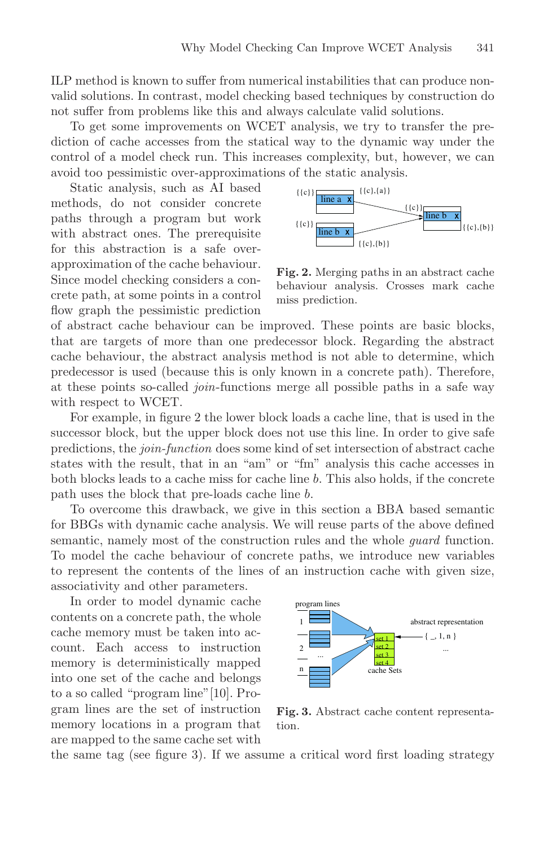ILP method is known to suffer from numerical instabilities that can produce nonvalid solutions. In contrast, model checking based techniques by construction do not suffer from problems like this and always calculate valid solutions.

To get some improvements on WCET analysis, we try to transfer the prediction of cache accesses from the statical way to the dynamic way under the control of a model check run. This increases complexity, but, however, we can avoid too pessimistic over-approximations of the static analysis.

Static analysis, such as AI based methods, do not consider concrete paths through a program but work with abstract ones. The prerequisite for this abstraction is a safe overapproximation of the cache behaviour. Since model checking considers a concrete path, at some points in a control flow graph the pessimistic prediction



**Fig. 2.** Merging paths in an abstract cache behaviour analysis. Crosses mark cache miss prediction.

of abstract cache behaviour can be improved. These points are basic blocks, that are targets of more than one predecessor block. Regarding the abstract cache behaviour, the abstract analysis method is not able to determine, which predecessor is used (because this is only known in a concrete path). Therefore, at these points so-called *join*-functions merge all possible paths in a safe way with respect to WCET.

For example, in figure 2 the lower block loads a cache line, that is used in the successor block, but the upper block does not use this line. In order to give safe predictions, the *join-function* does some kind of set intersection of abstract cache states with the result, that in an "am" or "fm" analysis this cache accesses in both blocks leads to a cache miss for cache line b. This also holds, if the concrete path uses the block that pre-loads cache line b.

To overcome this drawback, we give in this section a BBA based semantic for BBGs with dynamic cache analysis. We will reuse parts of the above defined semantic, namely most of the construction rules and the whole *guard* function. To model the cache behaviour of concrete paths, we introduce new variables to represent the contents of the lines of an instruction cache with given size, associativity and other parameters.

In order to model dynamic cache contents on a concrete path, the whole cache memory must be taken into account. Each access to instruction memory is deterministically mapped into one set of the cache and belongs to a so called "program line"[10]. Program lines are the set of instruction memory locations in a program that are mapped to the same cache set with



**Fig. 3.** Abstract cache content representation.

the same tag (see figure 3). If we assume a critical word first loading strategy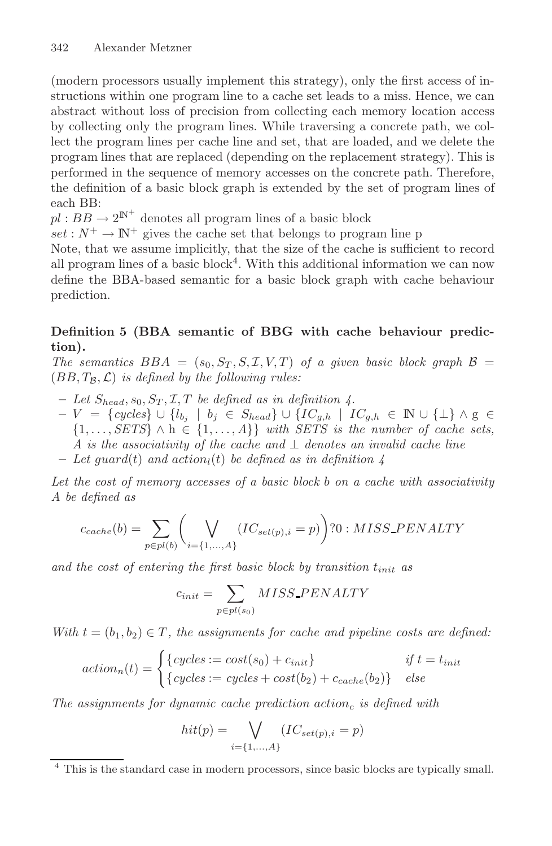(modern processors usually implement this strategy), only the first access of instructions within one program line to a cache set leads to a miss. Hence, we can abstract without loss of precision from collecting each memory location access by collecting only the program lines. While traversing a concrete path, we collect the program lines per cache line and set, that are loaded, and we delete the program lines that are replaced (depending on the replacement strategy). This is performed in the sequence of memory accesses on the concrete path. Therefore, the definition of a basic block graph is extended by the set of program lines of each BB:

 $pl: BB \to 2^{\mathbb{N}^+}$  denotes all program lines of a basic block

 $set: N^+ \to \mathbb{N}^+$  gives the cache set that belongs to program line p

Note, that we assume implicitly, that the size of the cache is sufficient to record all program lines of a basic block<sup>4</sup>. With this additional information we can now define the BBA-based semantic for a basic block graph with cache behaviour prediction.

# **Definition 5 (BBA semantic of BBG with cache behaviour prediction).**

*The semantics*  $BBA = (s_0, S_T, S, \mathcal{I}, V, T)$  *of a given basic block graph*  $\mathcal{B} =$  $(BB, T_{\mathcal{B}}, \mathcal{L})$  *is defined by the following rules:* 

- $-$  *Let*  $S_{head}, s_0, S_T, \mathcal{I}, T$  *be defined as in definition 4.*
- **–** V = {*cycles*}∪{l*<sup>b</sup><sup>j</sup>* | b*<sup>j</sup>* ∈ S*head*}∪{IC*g,h* | IC*g,h* ∈ IN ∪ {⊥} ∧ g ∈  ${1, \ldots, SETS} \wedge h \in {1, \ldots, A}$  *with SETS is the number of cache sets, A is the associativity of the cache and* ⊥ *denotes an invalid cache line*
- $\ell$   *Let guard(t) and action<sub>l</sub>(t) be defined as in definition 4*

*Let the cost of memory accesses of a basic block* b *on a cache with associativity A be defined as*

$$
c_{cache}(b) = \sum_{p \in pl(b)} \left( \bigvee_{i = \{1, ..., A\}} (IC_{set(p), i} = p) \right) ?0 : MISS\_PENALTY
$$

*and the cost of entering the first basic block by transition* t*init as*

$$
c_{init} = \sum_{p \in pl(s_0)} MISS\_{ENALTY}
$$

*With*  $t = (b_1, b_2) \in T$ , the assignments for cache and pipeline costs are defined:

$$
action_n(t) = \begin{cases} \{ cycles := cost(s_0) + c_{init} \} & \text{if } t = t_{init} \\ \{ cycles := cycles + cost(b_2) + c_{cache}(b_2) \} & \text{else} \end{cases}
$$

*The assignments for dynamic cache prediction* action*<sup>c</sup> is defined with*

$$
hit(p) = \bigvee_{i=\{1,...,A\}} (IC_{set(p),i} = p)
$$

<sup>4</sup> This is the standard case in modern processors, since basic blocks are typically small.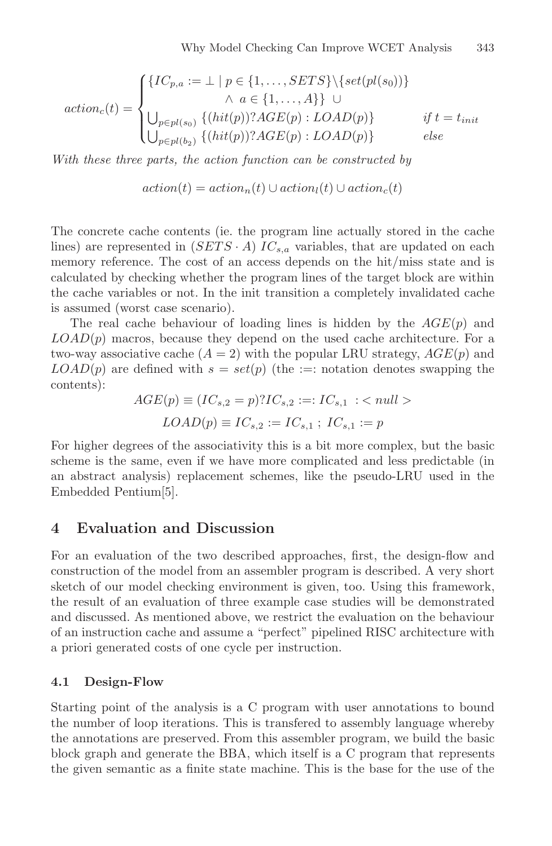$$
action_c(t) = \begin{cases} \{IC_{p,a} := \bot \mid p \in \{1, \ldots, SETS\} \setminus \{set(pl(s_0))\} \\ \land a \in \{1, \ldots, A\} \} \cup \\ \bigcup_{p \in pl(s_0)} \{ (hit(p)) ? AGE(p) : LOAD(p) \} \qquad \text{if } t = t_{init} \\ \bigcup_{p \in pl(b_2)} \{ (hit(p)) ? AGE(p) : LOAD(p) \} \qquad \text{else} \end{cases}
$$

*With these three parts, the action function can be constructed by*

$$
action(t) = action_n(t) \cup action_l(t) \cup action_c(t)
$$

The concrete cache contents (ie. the program line actually stored in the cache lines) are represented in  $(SETS \cdot A) IC_{s,a}$  variables, that are updated on each memory reference. The cost of an access depends on the hit/miss state and is calculated by checking whether the program lines of the target block are within the cache variables or not. In the init transition a completely invalidated cache is assumed (worst case scenario).

The real cache behaviour of loading lines is hidden by the  $AGE(p)$  and  $LOAD(p)$  macros, because they depend on the used cache architecture. For a two-way associative cache  $(A = 2)$  with the popular LRU strategy,  $AGE(p)$  and  $LOAD(p)$  are defined with  $s = set(p)$  (the :=: notation denotes swapping the contents):

$$
AGE(p) \equiv (IC_{s,2} = p)? IC_{s,2} :=: IC_{s,1} : < null>
$$
  
 $LOAD(p) \equiv IC_{s,2} := IC_{s,1} ; IC_{s,1} := p$ 

For higher degrees of the associativity this is a bit more complex, but the basic scheme is the same, even if we have more complicated and less predictable (in an abstract analysis) replacement schemes, like the pseudo-LRU used in the Embedded Pentium[5].

## **4 Evaluation and Discussion**

For an evaluation of the two described approaches, first, the design-flow and construction of the model from an assembler program is described. A very short sketch of our model checking environment is given, too. Using this framework, the result of an evaluation of three example case studies will be demonstrated and discussed. As mentioned above, we restrict the evaluation on the behaviour of an instruction cache and assume a "perfect" pipelined RISC architecture with a priori generated costs of one cycle per instruction.

## **4.1 Design-Flow**

Starting point of the analysis is a C program with user annotations to bound the number of loop iterations. This is transfered to assembly language whereby the annotations are preserved. From this assembler program, we build the basic block graph and generate the BBA, which itself is a C program that represents the given semantic as a finite state machine. This is the base for the use of the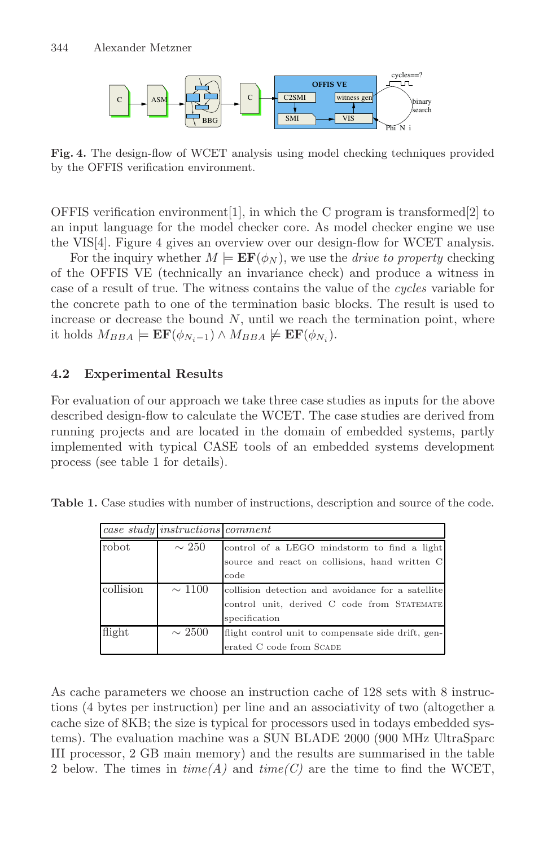

**Fig. 4.** The design-flow of WCET analysis using model checking techniques provided by the OFFIS verification environment.

OFFIS verification environment[1], in which the C program is transformed[2] to an input language for the model checker core. As model checker engine we use the VIS[4]. Figure 4 gives an overview over our design-flow for WCET analysis.

For the inquiry whether  $M \models \mathbf{EF}(\phi_N)$ , we use the *drive to property* checking of the OFFIS VE (technically an invariance check) and produce a witness in case of a result of true. The witness contains the value of the *cycles* variable for the concrete path to one of the termination basic blocks. The result is used to increase or decrease the bound  $N$ , until we reach the termination point, where it holds  $M_{BBA} \models \mathbf{EF}(\phi_{N_i-1}) \land M_{BBA} \not\models \mathbf{EF}(\phi_{N_i}).$ 

# **4.2 Experimental Results**

For evaluation of our approach we take three case studies as inputs for the above described design-flow to calculate the WCET. The case studies are derived from running projects and are located in the domain of embedded systems, partly implemented with typical CASE tools of an embedded systems development process (see table 1 for details).

**Table 1.** Case studies with number of instructions, description and source of the code.

|           | case study instructions comment |                                                    |
|-----------|---------------------------------|----------------------------------------------------|
| robot     | $\sim 250$                      | control of a LEGO mindstorm to find a light        |
|           |                                 | source and react on collisions, hand written C     |
|           |                                 | code                                               |
| collision | $\sim$ 1100                     | collision detection and avoidance for a satellite  |
|           |                                 | control unit, derived C code from STATEMATE        |
|           |                                 | specification                                      |
| flight    | $\sim 2500$                     | flight control unit to compensate side drift, gen- |
|           |                                 | erated C code from SCADE                           |

As cache parameters we choose an instruction cache of 128 sets with 8 instructions (4 bytes per instruction) per line and an associativity of two (altogether a cache size of 8KB; the size is typical for processors used in todays embedded systems). The evaluation machine was a SUN BLADE 2000 (900 MHz UltraSparc III processor, 2 GB main memory) and the results are summarised in the table 2 below. The times in  $time(A)$  and  $time(C)$  are the time to find the WCET,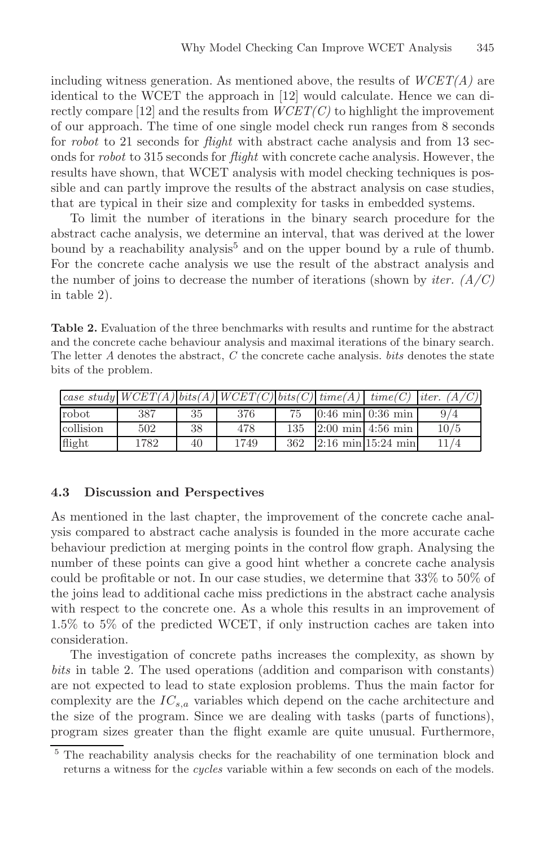including witness generation. As mentioned above, the results of *WCET(A)* are identical to the WCET the approach in [12] would calculate. Hence we can directly compare [12] and the results from *WCET(C)* to highlight the improvement of our approach. The time of one single model check run ranges from 8 seconds for *robot* to 21 seconds for *flight* with abstract cache analysis and from 13 seconds for *robot* to 315 seconds for *flight* with concrete cache analysis. However, the results have shown, that WCET analysis with model checking techniques is possible and can partly improve the results of the abstract analysis on case studies, that are typical in their size and complexity for tasks in embedded systems.

To limit the number of iterations in the binary search procedure for the abstract cache analysis, we determine an interval, that was derived at the lower bound by a reachability analysis<sup>5</sup> and on the upper bound by a rule of thumb. For the concrete cache analysis we use the result of the abstract analysis and the number of joins to decrease the number of iterations (shown by *iter. (A/C)* in table 2).

**Table 2.** Evaluation of the three benchmarks with results and runtime for the abstract and the concrete cache behaviour analysis and maximal iterations of the binary search. The letter *A* denotes the abstract, *C* the concrete cache analysis. *bits* denotes the state bits of the problem.

|           |      |    |      |     |                                      | $\vert \text{case study} \vert \text{WCEPT}(A) \vert \text{bits}(A) \vert \text{WCEPT}(C) \vert \text{bits}(C) \vert \text{time}(A) \vert \text{time}(C) \vert \text{iter.} (A/C)$ |
|-----------|------|----|------|-----|--------------------------------------|------------------------------------------------------------------------------------------------------------------------------------------------------------------------------------|
| robot     | 387  | 35 | 376  | 75  | $0:46$ min 0:36 min                  | 9/4                                                                                                                                                                                |
| collision | 502  | 38 | 478  | 135 | $2:00 \text{ min}$ 4:56 min          | 10/5                                                                                                                                                                               |
| flight    | 1782 | 40 | 1749 | 362 | $2:16 \text{ min} 15:24 \text{ min}$ |                                                                                                                                                                                    |

## **4.3 Discussion and Perspectives**

As mentioned in the last chapter, the improvement of the concrete cache analysis compared to abstract cache analysis is founded in the more accurate cache behaviour prediction at merging points in the control flow graph. Analysing the number of these points can give a good hint whether a concrete cache analysis could be profitable or not. In our case studies, we determine that 33% to 50% of the joins lead to additional cache miss predictions in the abstract cache analysis with respect to the concrete one. As a whole this results in an improvement of 1.5% to 5% of the predicted WCET, if only instruction caches are taken into consideration.

The investigation of concrete paths increases the complexity, as shown by *bits* in table 2. The used operations (addition and comparison with constants) are not expected to lead to state explosion problems. Thus the main factor for complexity are the  $IC_{s,a}$  variables which depend on the cache architecture and the size of the program. Since we are dealing with tasks (parts of functions), program sizes greater than the flight examle are quite unusual. Furthermore,

<sup>5</sup> The reachability analysis checks for the reachability of one termination block and returns a witness for the *cycles* variable within a few seconds on each of the models.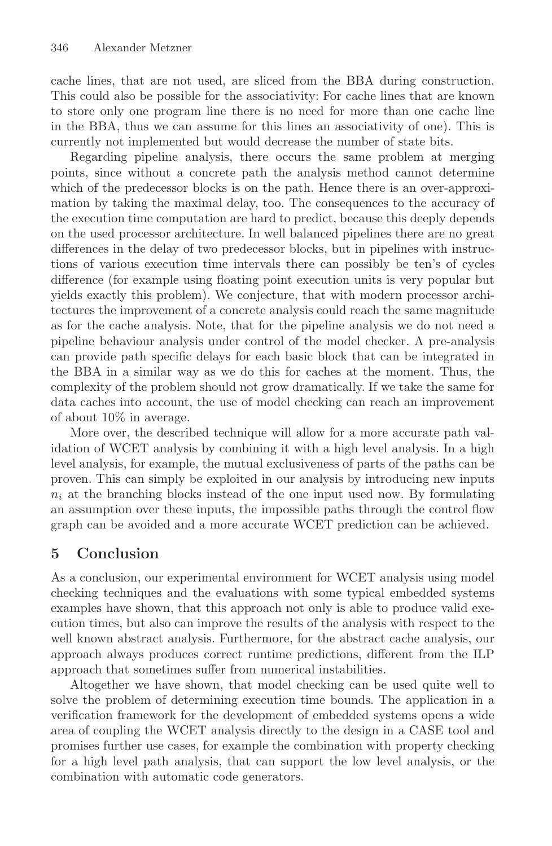cache lines, that are not used, are sliced from the BBA during construction. This could also be possible for the associativity: For cache lines that are known to store only one program line there is no need for more than one cache line in the BBA, thus we can assume for this lines an associativity of one). This is currently not implemented but would decrease the number of state bits.

Regarding pipeline analysis, there occurs the same problem at merging points, since without a concrete path the analysis method cannot determine which of the predecessor blocks is on the path. Hence there is an over-approximation by taking the maximal delay, too. The consequences to the accuracy of the execution time computation are hard to predict, because this deeply depends on the used processor architecture. In well balanced pipelines there are no great differences in the delay of two predecessor blocks, but in pipelines with instructions of various execution time intervals there can possibly be ten's of cycles difference (for example using floating point execution units is very popular but yields exactly this problem). We conjecture, that with modern processor architectures the improvement of a concrete analysis could reach the same magnitude as for the cache analysis. Note, that for the pipeline analysis we do not need a pipeline behaviour analysis under control of the model checker. A pre-analysis can provide path specific delays for each basic block that can be integrated in the BBA in a similar way as we do this for caches at the moment. Thus, the complexity of the problem should not grow dramatically. If we take the same for data caches into account, the use of model checking can reach an improvement of about 10% in average.

More over, the described technique will allow for a more accurate path validation of WCET analysis by combining it with a high level analysis. In a high level analysis, for example, the mutual exclusiveness of parts of the paths can be proven. This can simply be exploited in our analysis by introducing new inputs  $n_i$  at the branching blocks instead of the one input used now. By formulating an assumption over these inputs, the impossible paths through the control flow graph can be avoided and a more accurate WCET prediction can be achieved.

# **5 Conclusion**

As a conclusion, our experimental environment for WCET analysis using model checking techniques and the evaluations with some typical embedded systems examples have shown, that this approach not only is able to produce valid execution times, but also can improve the results of the analysis with respect to the well known abstract analysis. Furthermore, for the abstract cache analysis, our approach always produces correct runtime predictions, different from the ILP approach that sometimes suffer from numerical instabilities.

Altogether we have shown, that model checking can be used quite well to solve the problem of determining execution time bounds. The application in a verification framework for the development of embedded systems opens a wide area of coupling the WCET analysis directly to the design in a CASE tool and promises further use cases, for example the combination with property checking for a high level path analysis, that can support the low level analysis, or the combination with automatic code generators.